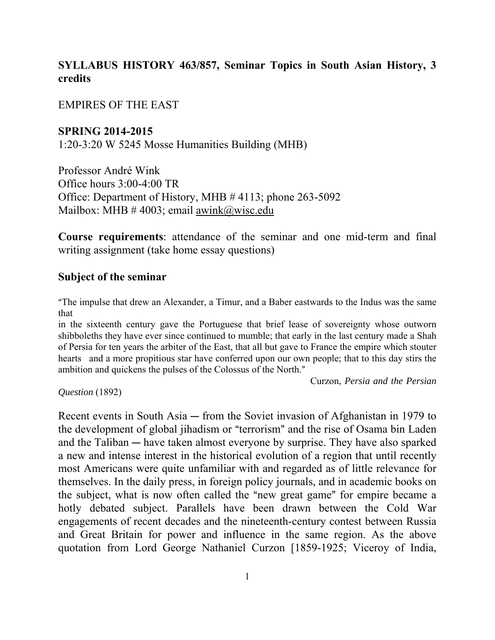## **SYLLABUS HISTORY 463/857, Seminar Topics in South Asian History, 3 credits**

EMPIRES OF THE EAST

**SPRING 2014-2015**

1:20-3:20 W 5245 Mosse Humanities Building (MHB)

Professor André Wink Office hours 3:00-4:00 TR Office: Department of History, MHB # 4113; phone 263-5092 Mailbox: MHB  $\#$  4003; email awink@wisc.edu

**Course requirements**: attendance of the seminar and one mid-term and final writing assignment (take home essay questions)

#### **Subject of the seminar**

"The impulse that drew an Alexander, a Timur, and a Baber eastwards to the Indus was the same that

in the sixteenth century gave the Portuguese that brief lease of sovereignty whose outworn shibboleths they have ever since continued to mumble; that early in the last century made a Shah of Persia for ten years the arbiter of the East, that all but gave to France the empire which stouter hearts and a more propitious star have conferred upon our own people; that to this day stirs the ambition and quickens the pulses of the Colossus of the North."

Curzon, *Persia and the Persian* 

*Question* (1892)

Recent events in South Asia  $-$  from the Soviet invasion of Afghanistan in 1979 to the development of global jihadism or "terrorism" and the rise of Osama bin Laden and the Taliban  $-$  have taken almost everyone by surprise. They have also sparked a new and intense interest in the historical evolution of a region that until recently most Americans were quite unfamiliar with and regarded as of little relevance for themselves. In the daily press, in foreign policy journals, and in academic books on the subject, what is now often called the "new great game" for empire became a hotly debated subject. Parallels have been drawn between the Cold War engagements of recent decades and the nineteenth-century contest between Russia and Great Britain for power and influence in the same region. As the above quotation from Lord George Nathaniel Curzon [1859-1925; Viceroy of India,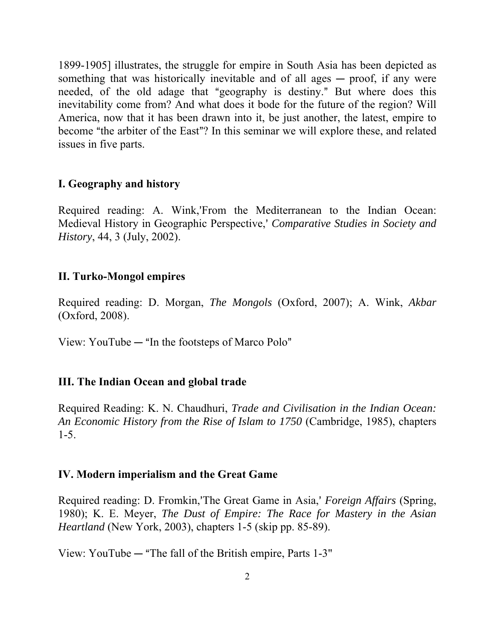1899-1905] illustrates, the struggle for empire in South Asia has been depicted as something that was historically inevitable and of all ages  $-$  proof, if any were needed, of the old adage that "geography is destiny." But where does this inevitability come from? And what does it bode for the future of the region? Will America, now that it has been drawn into it, be just another, the latest, empire to become "the arbiter of the East"? In this seminar we will explore these, and related issues in five parts.

### **I. Geography and history**

Required reading: A. Wink,'From the Mediterranean to the Indian Ocean: Medieval History in Geographic Perspective,= *Comparative Studies in Society and History*, 44, 3 (July, 2002).

### **II. Turko-Mongol empires**

Required reading: D. Morgan, *The Mongols* (Oxford, 2007); A. Wink, *Akbar* (Oxford, 2008).

View: YouTube  $-$  "In the footsteps of Marco Polo"

### **III. The Indian Ocean and global trade**

Required Reading: K. N. Chaudhuri, *Trade and Civilisation in the Indian Ocean: An Economic History from the Rise of Islam to 1750* (Cambridge, 1985), chapters 1-5.

#### **IV. Modern imperialism and the Great Game**

Required reading: D. Fromkin,'The Great Game in Asia,' *Foreign Affairs (Spring, 2015)* 1980); K. E. Meyer, *The Dust of Empire: The Race for Mastery in the Asian Heartland* (New York, 2003), chapters 1-5 (skip pp. 85-89).

View: YouTube  $-$  "The fall of the British empire, Parts 1-3"